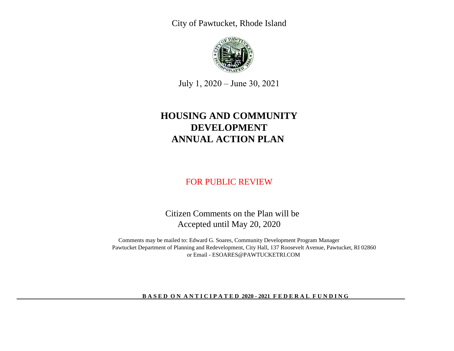City of Pawtucket, Rhode Island



July 1, 2020 – June 30, 2021

# **ANNUAL ACTION PLAN HOUSING AND COMMUNITY DEVELOPMENT**

## FOR PUBLIC REVIEW

 Citizen Comments on the Plan will be Accepted until May 20, 2020

Comments may be mailed to: Edward G. Soares, Community Development Program Manager Pawtucket Department of Planning and Redevelopment, City Hall, 137 Roosevelt Avenue, Pawtucket, RI 02860 or Email - ESOARES@PAWTUCKETRI.COM

### **BASED ON ANTICIPATED 2020 - 2021 FEDERAL FUNDING**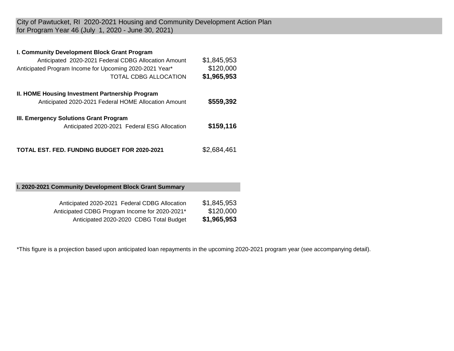City of Pawtucket, RI 2020-2021 Housing and Community Development Action Plan for Program Year 46 (July 1, 2020 - June 30, 2021)

## **I. Community Development Block Grant Program**

| Anticipated 2020-2021 Federal CDBG Allocation Amount<br>Anticipated Program Income for Upcoming 2020-2021 Year*<br>TOTAL CDBG ALLOCATION | \$1,845,953<br>\$120,000<br>\$1,965,953 |
|------------------------------------------------------------------------------------------------------------------------------------------|-----------------------------------------|
| II. HOME Housing Investment Partnership Program<br>Anticipated 2020-2021 Federal HOME Allocation Amount                                  | \$559,392                               |
| III. Emergency Solutions Grant Program<br>Anticipated 2020-2021 Federal ESG Allocation                                                   | \$159,116                               |
| <b>TOTAL EST. FED. FUNDING BUDGET FOR 2020-2021</b>                                                                                      | \$2,684,461                             |

## **I. 2020-2021 Community Development Block Grant Summary**

| Anticipated 2020-2021 Federal CDBG Allocation  | \$1,845,953 |
|------------------------------------------------|-------------|
| Anticipated CDBG Program Income for 2020-2021* | \$120,000   |
| Anticipated 2020-2020 CDBG Total Budget        | \$1,965,953 |

\*This figure is a projection based upon anticipated loan repayments in the upcoming 2020-2021 program year (see accompanying detail).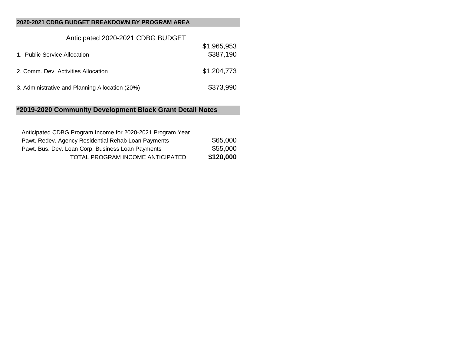## **2020-2021 CDBG BUDGET BREAKDOWN BY PROGRAM AREA**

| Anticipated 2020-2021 CDBG BUDGET               |                          |
|-------------------------------------------------|--------------------------|
| 1. Public Service Allocation                    | \$1,965,953<br>\$387,190 |
| 2. Comm. Dev. Activities Allocation             | \$1,204,773              |
| 3. Administrative and Planning Allocation (20%) | \$373,990                |

## **\*2019-2020 Community Development Block Grant Detail Notes**

| Anticipated CDBG Program Income for 2020-2021 Program Year |           |
|------------------------------------------------------------|-----------|
| Pawt. Redev. Agency Residential Rehab Loan Payments        | \$65,000  |
| Pawt. Bus. Dev. Loan Corp. Business Loan Payments          | \$55,000  |
| TOTAL PROGRAM INCOME ANTICIPATED                           | \$120,000 |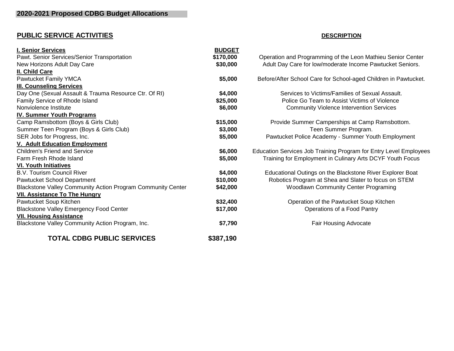# **PUBLIC SERVICE ACTIVITIES DESCRIPTION**

| <b>I. Senior Services</b>                                   | <b>BUDGET</b> |                                                                   |
|-------------------------------------------------------------|---------------|-------------------------------------------------------------------|
| Pawt. Senior Services/Senior Transportation                 | \$170,000     | Operation and Programming of the Leon Mathieu Senior Center       |
| New Horizons Adult Day Care                                 | \$30,000      | Adult Day Care for low/moderate Income Pawtucket Seniors.         |
| II. Child Care                                              |               |                                                                   |
| Pawtucket Family YMCA                                       | \$5,000       | Before/After School Care for School-aged Children in Pawtucket.   |
| <b>III. Counseling Services</b>                             |               |                                                                   |
| Day One (Sexual Assault & Trauma Resource Ctr. Of RI)       | \$4,000       | Services to Victims/Families of Sexual Assault.                   |
| Family Service of Rhode Island                              | \$25,000      | Police Go Team to Assist Victims of Violence                      |
| Nonviolence Institute                                       | \$6,000       | <b>Community Violence Intervention Services</b>                   |
| <b>IV. Summer Youth Programs</b>                            |               |                                                                   |
| Camp Ramsbottom (Boys & Girls Club)                         | \$15,000      | Provide Summer Camperships at Camp Ramsbottom.                    |
| Summer Teen Program (Boys & Girls Club)                     | \$3,000       | Teen Summer Program.                                              |
| SER Jobs for Progress, Inc.                                 | \$5,000       | Pawtucket Police Academy - Summer Youth Employment                |
| V. Adult Education Employment                               |               |                                                                   |
| <b>Children's Friend and Service</b>                        | \$6,000       | Education Services Job Training Program for Entry Level Employees |
| Farm Fresh Rhode Island                                     | \$5,000       | Training for Employment in Culinary Arts DCYF Youth Focus         |
| <b>VI. Youth Initiatives</b>                                |               |                                                                   |
| <b>B.V. Tourism Council River</b>                           | \$4,000       | Educational Outings on the Blackstone River Explorer Boat         |
| Pawtucket School Department                                 | \$10,000      | Robotics Program at Shea and Slater to focus on STEM              |
| Blackstone Valley Community Action Program Community Center | \$42,000      | <b>Woodlawn Community Center Programing</b>                       |
| <b>VII. Assistance To The Hungry</b>                        |               |                                                                   |
| Pawtucket Soup Kitchen                                      | \$32,400      | Operation of the Pawtucket Soup Kitchen                           |
| <b>Blackstone Valley Emergency Food Center</b>              | \$17,000      | Operations of a Food Pantry                                       |
| <b>VII. Housing Assistance</b>                              |               |                                                                   |
| Blackstone Valley Community Action Program, Inc.            | \$7,790       | <b>Fair Housing Advocate</b>                                      |
| <b>TOTAL CDBG PUBLIC SERVICES</b>                           | \$387,190     |                                                                   |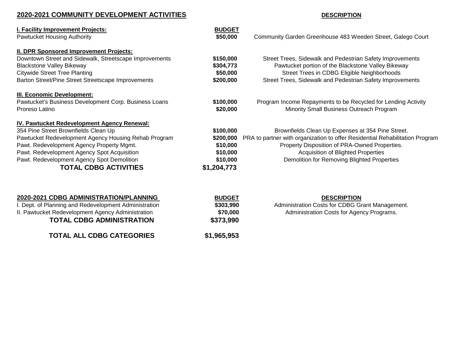## **2020-2021 COMMUNITY DEVELOPMENT ACTIVITIES DESCRIPTION**

| I. Facility Improvement Projects:                      | <b>BUDGET</b> |                                                                              |
|--------------------------------------------------------|---------------|------------------------------------------------------------------------------|
| Pawtucket Housing Authority                            | \$50,000      | Community Garden Greenhouse 483 Weeden Street, Galego Court                  |
| II. DPR Sponsored Improvement Projects:                |               |                                                                              |
| Downtown Street and Sidewalk, Streetscape Improvements | \$150,000     | Street Trees, Sidewalk and Pedestrian Safety Improvements                    |
| <b>Blackstone Valley Bikeway</b>                       | \$304,773     | Pawtucket portion of the Blackstone Valley Bikeway                           |
| <b>Citywide Street Tree Planting</b>                   | \$50,000      | Street Trees in CDBG Eligible Neighborhoods                                  |
| Barton Street/Pine Street Streetscape Improvements     | \$200,000     | Street Trees, Sidewalk and Pedestrian Safety Improvements                    |
| <b>III. Economic Development:</b>                      |               |                                                                              |
| Pawtucket's Business Development Corp. Business Loans  | \$100,000     | Program Income Repayments to be Recycled for Lending Activity                |
| Proreso Latino                                         | \$20,000      | Minority Small Business Outreach Program                                     |
| IV. Pawtucket Redevelopment Agency Renewal:            |               |                                                                              |
| 354 Pine Street Brownfields Clean Up                   | \$100,000     | Brownfields Clean Up Expenses at 354 Pine Street.                            |
| Pawtucket Redevelopment Agency Housing Rehab Program   | \$200,000     | PRA to partner with organization to offer Residential Rehabilitation Program |
| Pawt. Redevelopment Agency Property Mgmt.              | \$10,000      | Property Disposition of PRA-Owned Properties.                                |
| Pawt. Redevelopment Agency Spot Acquisition            | \$10,000      | <b>Acquisition of Blighted Properties</b>                                    |
| Pawt. Redevelopment Agency Spot Demolition             | \$10,000      | Demolition for Removing Blighted Properties                                  |
| <b>TOTAL CDBG ACTIVITIES</b>                           | \$1,204,773   |                                                                              |
|                                                        |               |                                                                              |
| 2020-2021 CDBG ADMINISTRATION/PLANNING                 | <b>BUDGET</b> | <b>DESCRIPTION</b>                                                           |

| 2020-2021 CDBG ADMINISTRATION/PLANNING |
|----------------------------------------|
|----------------------------------------|

| \$303,990   | I. Dept. of Planning and Redevelopment Administration |  |
|-------------|-------------------------------------------------------|--|
| \$70,000    | II. Pawtucket Redevelopment Agency Administration     |  |
| \$373,990   | <b>TOTAL CDBG ADMINISTRATION</b>                      |  |
| \$1,965,953 | <b>TOTAL ALL CDBG CATEGORIES</b>                      |  |

\$70,000 Administration Costs for Agency Programs.  $$373,990$ 

**\$303,990** Administration Costs for CDBG Grant Management.